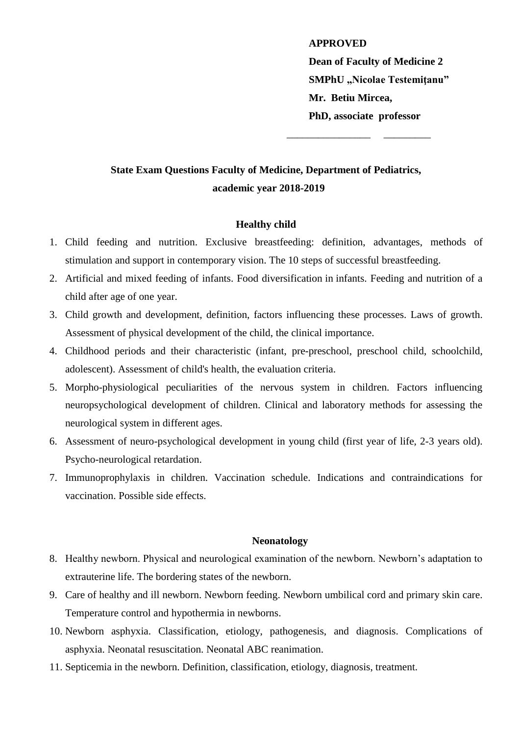**APPROVED Dean of Faculty of Medicine 2 SMPhU "Nicolae Testemiţanu" Mr. Betiu Mircea, PhD, associate professor** 

\_\_\_\_\_\_\_\_\_\_\_\_\_\_\_\_ \_\_\_\_\_\_\_\_\_

# **State Exam Questions Faculty of Medicine, Department of Pediatrics, academic year 2018-2019**

## **Healthy child**

- 1. Child feeding and nutrition. Exclusive breastfeeding: definition, advantages, methods of stimulation and support in contemporary vision. The 10 steps of successful breastfeeding.
- 2. Artificial and mixed feeding of infants. Food diversification in infants. Feeding and nutrition of a child after age of one year.
- 3. Child growth and development, definition, factors influencing these processes. Laws of growth. Assessment of physical development of the child, the clinical importance.
- 4. Childhood periods and their characteristic (infant, pre-preschool, preschool child, schoolchild, adolescent). Assessment of child's health, the evaluation criteria.
- 5. Morpho-physiological peculiarities of the nervous system in children. Factors influencing neuropsychological development of children. Clinical and laboratory methods for assessing the neurological system in different ages.
- 6. Assessment of neuro-psychological development in young child (first year of life, 2-3 years old). Psycho-neurological retardation.
- 7. Immunoprophylaxis in children. Vaccination schedule. Indications and contraindications for vaccination. Possible side effects.

## **Neonatology**

- 8. Healthy newborn. Physical and neurological examination of the newborn. Newborn's adaptation to extrauterine life. The bordering states of the newborn.
- 9. Care of healthy and ill newborn. Newborn feeding. [Newborn umbilical](http://www.ncbi.nlm.nih.gov/pubmed/19057570) cord and primary skin care. Temperature control and hypothermia in newborns.
- 10. Newborn asphyxia. Classification, etiology, pathogenesis, and diagnosis. Complications of asphyxia. Neonatal resuscitation. Neonatal ABC reanimation.
- 11. Septicemia in the newborn. Definition, classification, etiology, diagnosis, treatment.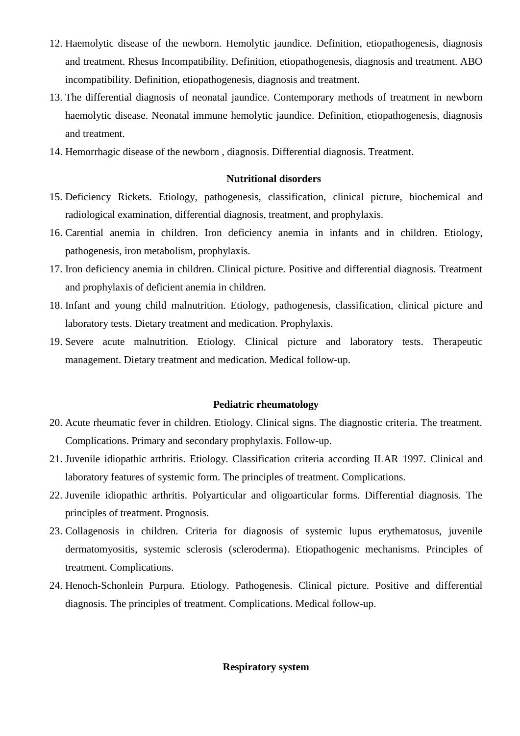- 12. Haemolytic disease of the newborn. Hemolytic jaundice. Definition, etiopathogenesis, diagnosis and treatment. Rhesus Incompatibility. Definition, etiopathogenesis, diagnosis and treatment. ABO incompatibility. Definition, etiopathogenesis, diagnosis and treatment.
- 13. The differential diagnosis of neonatal jaundice. Contemporary methods of treatment in newborn haemolytic disease. Neonatal immune hemolytic jaundice. Definition, etiopathogenesis, diagnosis and treatment.
- 14. Hemorrhagic disease of the newborn , diagnosis. Differential diagnosis. Treatment.

## **Nutritional disorders**

- 15. Deficiency Rickets. Etiology, pathogenesis, classification, clinical picture, biochemical and radiological examination, differential diagnosis, treatment, and prophylaxis.
- 16. Carential anemia in children. Iron deficiency anemia in infants and in children. Etiology, pathogenesis, iron metabolism, prophylaxis.
- 17. Iron deficiency anemia in children. Clinical picture. Positive and differential diagnosis. Treatment and prophylaxis of deficient anemia in children.
- 18. Infant and young child malnutrition. Etiology, pathogenesis, classification, clinical picture and laboratory tests. Dietary treatment and medication. Prophylaxis.
- 19. Severe acute malnutrition. Etiology. Clinical picture and laboratory tests. Therapeutic management. Dietary treatment and medication. Medical follow-up.

## **Pediatric rheumatology**

- 20. Acute rheumatic fever in children. Etiology. Clinical signs. The diagnostic criteria. The treatment. Complications. Primary and secondary prophylaxis. Follow-up.
- 21. Juvenile idiopathic arthritis. Etiology. Classification criteria according ILAR 1997. Clinical and laboratory features of systemic form. The principles of treatment. Complications.
- 22. Juvenile idiopathic arthritis. Polyarticular and oligoarticular forms. Differential diagnosis. The principles of treatment. Prognosis.
- 23. Collagenosis in children. Criteria for diagnosis of systemic lupus erythematosus, juvenile dermatomyositis, systemic sclerosis (scleroderma). Etiopathogenic mechanisms. Principles of treatment. Complications.
- 24. Henoch-Schonlein Purpura. Etiology. Pathogenesis. Clinical picture. Positive and differential diagnosis. The principles of treatment. Complications. Medical follow-up.

# **Respiratory system**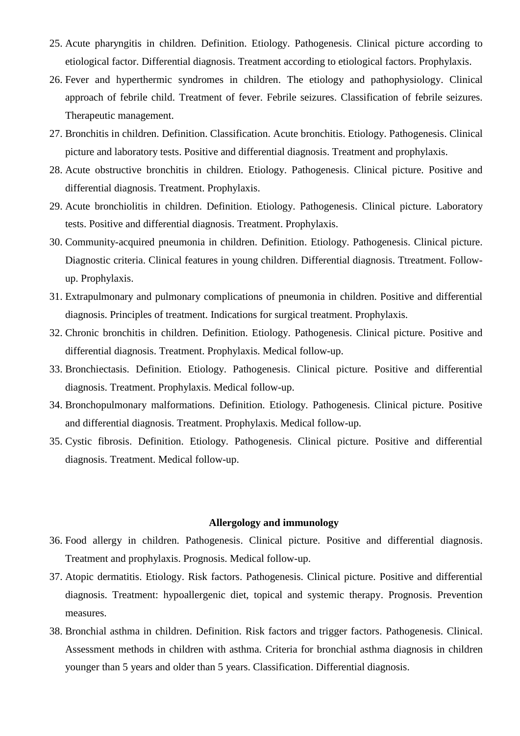- 25. Acute pharyngitis in children. Definition. Etiology. Pathogenesis. Clinical picture according to etiological factor. Differential diagnosis. Treatment according to etiological factors. Prophylaxis.
- 26. Fever and hyperthermic syndromes in children. The etiology and pathophysiology. Clinical approach of febrile child. Treatment of fever. Febrile seizures. Classification of febrile seizures. Therapeutic management.
- 27. Bronchitis in children. Definition. Classification. Acute bronchitis. Etiology. Pathogenesis. Clinical picture and laboratory tests. Positive and differential diagnosis. Treatment and prophylaxis.
- 28. Acute obstructive bronchitis in children. Etiology. Pathogenesis. Clinical picture. Positive and differential diagnosis. Treatment. Prophylaxis.
- 29. Acute bronchiolitis in children. Definition. Etiology. Pathogenesis. Clinical picture. Laboratory tests. Positive and differential diagnosis. Treatment. Prophylaxis.
- 30. Community-acquired pneumonia in children. Definition. Etiology. Pathogenesis. Clinical picture. Diagnostic criteria. Clinical features in young children. Differential diagnosis. Ttreatment. Followup. Prophylaxis.
- 31. Extrapulmonary and pulmonary complications of pneumonia in children. Positive and differential diagnosis. Principles of treatment. Indications for surgical treatment. Prophylaxis.
- 32. Chronic bronchitis in children. Definition. Etiology. Pathogenesis. Clinical picture. Positive and differential diagnosis. Treatment. Prophylaxis. Medical follow-up.
- 33. Bronchiectasis. Definition. Etiology. Pathogenesis. Clinical picture. Positive and differential diagnosis. Treatment. Prophylaxis. Medical follow-up.
- 34. Bronchopulmonary malformations. Definition. Etiology. Pathogenesis. Clinical picture. Positive and differential diagnosis. Treatment. Prophylaxis. Medical follow-up.
- 35. Cystic fibrosis. Definition. Etiology. Pathogenesis. Clinical picture. Positive and differential diagnosis. Treatment. Medical follow-up.

## **Allergology and immunology**

- 36. Food allergy in children. Pathogenesis. Clinical picture. Positive and differential diagnosis. Treatment and prophylaxis. Prognosis. Medical follow-up.
- 37. Atopic dermatitis. Etiology. Risk factors. Pathogenesis. Clinical picture. Positive and differential diagnosis. Treatment: hypoallergenic diet, topical and systemic therapy. Prognosis. Prevention measures.
- 38. Bronchial asthma in children. Definition. Risk factors and trigger factors. Pathogenesis. Clinical. Assessment methods in children with asthma. Criteria for bronchial asthma diagnosis in children younger than 5 years and older than 5 years. Classification. Differential diagnosis.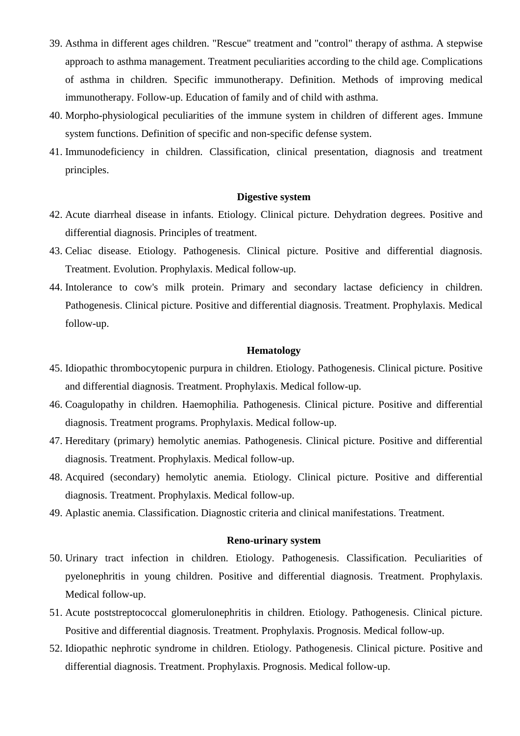- 39. Asthma in different ages children. "Rescue" treatment and "control" therapy of asthma. A stepwise approach to asthma management. Treatment peculiarities according to the child age. Complications of asthma in children. Specific immunotherapy. Definition. Methods of improving medical immunotherapy. Follow-up. Education of family and of child with asthma.
- 40. Morpho-physiological peculiarities of the immune system in children of different ages. Immune system functions. Definition of specific and non-specific defense system.
- 41. Immunodeficiency in children. Classification, clinical presentation, diagnosis and treatment principles.

## **Digestive system**

- 42. Acute diarrheal disease in infants. Etiology. Clinical picture. Dehydration degrees. Positive and differential diagnosis. Principles of treatment.
- 43. Celiac disease. Etiology. Pathogenesis. Clinical picture. Positive and differential diagnosis. Treatment. Evolution. Prophylaxis. Medical follow-up.
- 44. Intolerance to cow's milk protein. Primary and secondary lactase deficiency in children. Pathogenesis. Clinical picture. Positive and differential diagnosis. Treatment. Prophylaxis. Medical follow-up.

#### **Hematology**

- 45. Idiopathic thrombocytopenic purpura in children. Etiology. Pathogenesis. Clinical picture. Positive and differential diagnosis. Treatment. Prophylaxis. Medical follow-up.
- 46. Coagulopathy in children. Haemophilia. Pathogenesis. Clinical picture. Positive and differential diagnosis. Treatment programs. Prophylaxis. Medical follow-up.
- 47. Hereditary (primary) hemolytic anemias. Pathogenesis. Clinical picture. Positive and differential diagnosis. Treatment. Prophylaxis. Medical follow-up.
- 48. Acquired (secondary) hemolytic anemia. Etiology. Clinical picture. Positive and differential diagnosis. Treatment. Prophylaxis. Medical follow-up.
- 49. Aplastic anemia. Classification. Diagnostic criteria and clinical manifestations. Treatment.

## **Reno-urinary system**

- 50. Urinary tract infection in children. Etiology. Pathogenesis. Classification. Peculiarities of pyelonephritis in young children. Positive and differential diagnosis. Treatment. Prophylaxis. Medical follow-up.
- 51. Acute poststreptococcal glomerulonephritis in children. Etiology. Pathogenesis. Clinical picture. Positive and differential diagnosis. Treatment. Prophylaxis. Prognosis. Medical follow-up.
- 52. Idiopathic nephrotic syndrome in children. Etiology. Pathogenesis. Clinical picture. Positive and differential diagnosis. Treatment. Prophylaxis. Prognosis. Medical follow-up.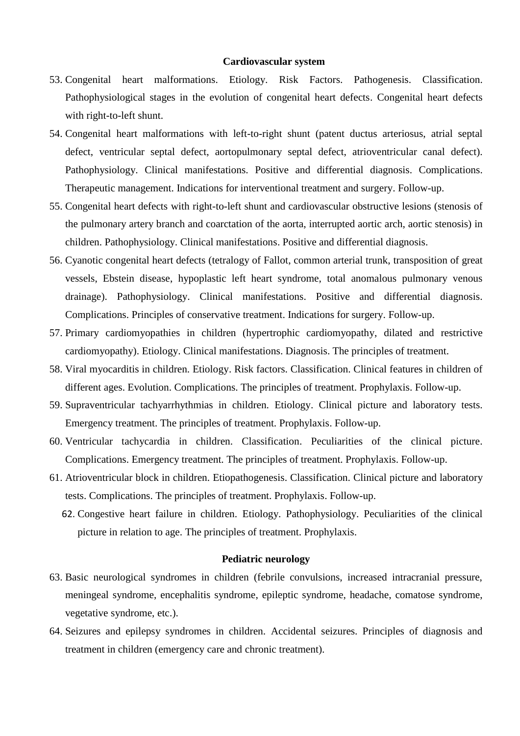#### **Cardiovascular system**

- 53. Congenital heart malformations. Etiology. Risk Factors. Pathogenesis. Classification. Pathophysiological stages in the evolution of congenital heart defects. Congenital heart defects with right-to-left shunt.
- 54. Congenital heart malformations with left-to-right shunt (patent ductus arteriosus, atrial septal defect, ventricular septal defect, aortopulmonary septal defect, atrioventricular canal defect). Pathophysiology. Clinical manifestations. Positive and differential diagnosis. Complications. Therapeutic management. Indications for interventional treatment and surgery. Follow-up.
- 55. Congenital heart defects with right-to-left shunt and cardiovascular obstructive lesions (stenosis of the pulmonary artery branch and coarctation of the aorta, interrupted aortic arch, aortic stenosis) in children. Pathophysiology. Clinical manifestations. Positive and differential diagnosis.
- 56. Cyanotic congenital heart defects (tetralogy of Fallot, common arterial trunk, transposition of great vessels, Ebstein disease, hypoplastic left heart syndrome, total anomalous pulmonary venous drainage). Pathophysiology. Clinical manifestations. Positive and differential diagnosis. Complications. Principles of conservative treatment. Indications for surgery. Follow-up.
- 57. Primary cardiomyopathies in children (hypertrophic cardiomyopathy, dilated and restrictive cardiomyopathy). Etiology. Clinical manifestations. Diagnosis. The principles of treatment.
- 58. Viral myocarditis in children. Etiology. Risk factors. Classification. Clinical features in children of different ages. Evolution. Complications. The principles of treatment. Prophylaxis. Follow-up.
- 59. Supraventricular tachyarrhythmias in children. Etiology. Clinical picture and laboratory tests. Emergency treatment. The principles of treatment. Prophylaxis. Follow-up.
- 60. Ventricular tachycardia in children. Classification. Peculiarities of the clinical picture. Complications. Emergency treatment. The principles of treatment. Prophylaxis. Follow-up.
- 61. Atrioventricular block in children. Etiopathogenesis. Classification. Clinical picture and laboratory tests. Complications. The principles of treatment. Prophylaxis. Follow-up.
	- 62. Congestive heart failure in children. Etiology. Pathophysiology. Peculiarities of the clinical picture in relation to age. The principles of treatment. Prophylaxis.

#### **Pediatric neurology**

- 63. Basic neurological syndromes in children (febrile convulsions, increased intracranial pressure, meningeal syndrome, encephalitis syndrome, epileptic syndrome, headache, comatose syndrome, vegetative syndrome, etc.).
- 64. Seizures and epilepsy syndromes in children. Accidental seizures. Principles of diagnosis and treatment in children (emergency care and chronic treatment).